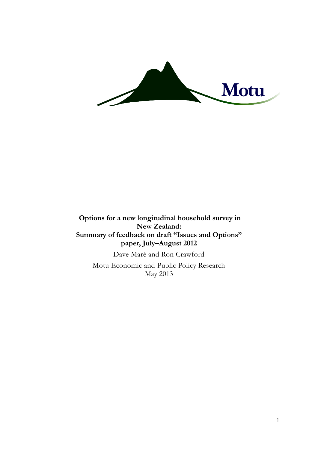

**Options for a new longitudinal household survey in New Zealand: Summary of feedback on draft "Issues and Options" paper, July–August 2012**

Dave Maré and Ron Crawford Motu Economic and Public Policy Research May 2013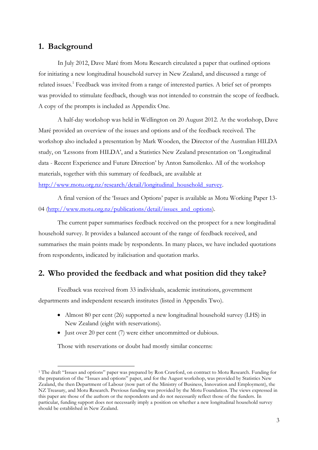# **1. Background**

-

In July 2012, Dave Maré from Motu Research circulated a paper that outlined options for initiating a new longitudinal household survey in New Zealand, and discussed a range of related issues.<sup>1</sup> Feedback was invited from a range of interested parties. A brief set of prompts was provided to stimulate feedback, though was not intended to constrain the scope of feedback. A copy of the prompts is included as Appendix One.

A half-day workshop was held in Wellington on 20 August 2012. At the workshop, Dave Maré provided an overview of the issues and options and of the feedback received. The workshop also included a presentation by Mark Wooden, the Director of the Australian HILDA study, on 'Lessons from HILDA', and a Statistics New Zealand presentation on 'Longitudinal data - Recent Experience and Future Direction' by Anton Samoilenko. All of the workshop materials, together with this summary of feedback, are available at [http://www.motu.org.nz/research/detail/longitudinal\\_household\\_survey.](http://www.motu.org.nz/research/detail/longitudinal_household_survey)

A final version of the 'Issues and Options' paper is available as Motu Working Paper 13- 04 [\(http://www.motu.org.nz/publications/detail/issues\\_and\\_options\)](http://www.motu.org.nz/publications/detail/issues_and_options).

The current paper summarises feedback received on the prospect for a new longitudinal household survey. It provides a balanced account of the range of feedback received, and summarises the main points made by respondents. In many places, we have included quotations from respondents, indicated by italicisation and quotation marks.

## **2. Who provided the feedback and what position did they take?**

Feedback was received from 33 individuals, academic institutions, government departments and independent research institutes (listed in Appendix Two).

- Almost 80 per cent (26) supported a new longitudinal household survey (LHS) in New Zealand (eight with reservations).
- Just over 20 per cent (7) were either uncommitted or dubious.

Those with reservations or doubt had mostly similar concerns:

<sup>&</sup>lt;sup>1</sup> The draft "Issues and options" paper was prepared by Ron Crawford, on contract to Motu Research. Funding for the preparation of the "Issues and options" paper, and for the August workshop, was provided by Statistics New Zealand, the then Department of Labour (now part of the Ministry of Business, Innovation and Employment), the NZ Treasury, and Motu Research. Previous funding was provided by the Motu Foundation. The views expressed in this paper are those of the authors or the respondents and do not necessarily reflect those of the funders. In particular, funding support does not necessarily imply a position on whether a new longitudinal household survey should be established in New Zealand.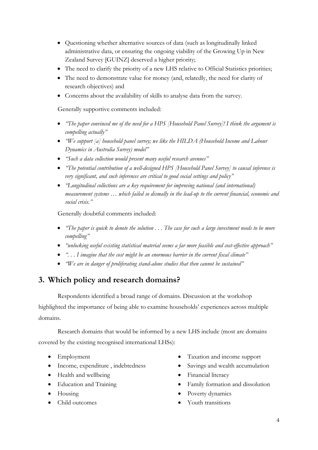- Questioning whether alternative sources of data (such as longitudinally linked administrative data, or ensuring the ongoing viability of the Growing Up in New Zealand Survey [GUINZ] deserved a higher priority;
- The need to clarify the priority of a new LHS relative to Official Statistics priorities;
- The need to demonstrate value for money (and, relatedly, the need for clarity of research objectives) and
- Concerns about the availability of skills to analyse data from the survey.

Generally supportive comments included:

- *"The paper convinced me of the need for a HPS [Household Panel Survey]! I think the argument is compelling actually"*
- *"We support [a] household panel survey; we like the HILDA (Household Income and Labour Dynamics in Australia Survey) model"*
- *"Such a data collection would present many useful research avenues"*
- *"The potential contribution of a well-designed HPS [Household Panel Survey] to causal inference is very significant, and such inferences are critical to good social settings and policy"*
- *"Longitudinal collections are a key requirement for improving national (and international) measurement systems … which failed so dismally in the lead-up to the current financial, economic and social crisis."*

Generally doubtful comments included:

- **•** "The paper is quick to denote the solution . . . The case for such a large investment needs to be more *compelling"*
- **•** "unlocking useful existing statistical material seems a far more feasible and cost-effective approach"
- *". . . I imagine that the cost might be an enormous barrier in the current fiscal climate"*
- *"We are in danger of proliferating stand-alone studies that then cannot be sustained"*

# **3. Which policy and research domains?**

Respondents identified a broad range of domains. Discussion at the workshop highlighted the importance of being able to examine households' experiences across multiple domains.

Research domains that would be informed by a new LHS include (most are domains covered by the existing recognised international LHSs):

- Employment
- Income, expenditure , indebtedness
- Health and wellbeing
- Education and Training
- Housing
- Child outcomes
- Taxation and income support
- Savings and wealth accumulation
- Financial literacy
- Family formation and dissolution
- Poverty dynamics
- Youth transitions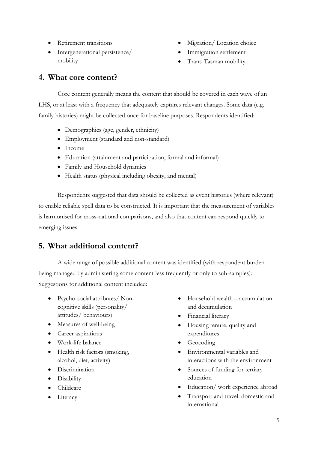- Retirement transitions
- Intergenerational persistence/ mobility
- Migration/Location choice
- Immigration settlement
- Trans-Tasman mobility

# **4. What core content?**

Core content generally means the content that should be covered in each wave of an LHS, or at least with a frequency that adequately captures relevant changes. Some data (e.g. family histories) might be collected once for baseline purposes. Respondents identified:

- Demographics (age, gender, ethnicity)
- Employment (standard and non-standard)
- Income
- Education (attainment and participation, formal and informal)
- Family and Household dynamics
- Health status (physical including obesity, and mental)

Respondents suggested that data should be collected as event histories (where relevant) to enable reliable spell data to be constructed. It is important that the measurement of variables is harmonised for cross-national comparisons, and also that content can respond quickly to emerging issues.

# **5. What additional content?**

A wide range of possible additional content was identified (with respondent burden being managed by administering some content less frequently or only to sub-samples): Suggestions for additional content included:

- Psycho-social attributes/ Noncognitive skills (personality/ attitudes/ behaviours)
- Measures of well-being
- Career aspirations
- Work-life balance
- Health risk factors (smoking, alcohol, diet, activity)
- **·** Discrimination
- Disability
- Childcare
- Literacy
- Household wealth accumulation and decumulation
- Financial literacy
- Housing tenure, quality and expenditures
- Geocoding
- Environmental variables and interactions with the environment
- Sources of funding for tertiary education
- Education/ work experience abroad
- Transport and travel: domestic and international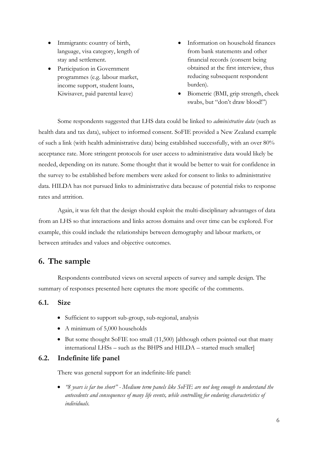- Immigrants: country of birth, language, visa category, length of stay and settlement.
- Participation in Government programmes (e.g. labour market, income support, student loans, Kiwisaver, paid parental leave)
- Information on household finances from bank statements and other financial records (consent being obtained at the first interview, thus reducing subsequent respondent burden).
- Biometric (BMI, grip strength, cheek swabs, but "don't draw blood!")

Some respondents suggested that LHS data could be linked to *administrative data* (such as health data and tax data), subject to informed consent. SoFIE provided a New Zealand example of such a link (with health administrative data) being established successfully, with an over 80% acceptance rate. More stringent protocols for user access to administrative data would likely be needed, depending on its nature. Some thought that it would be better to wait for confidence in the survey to be established before members were asked for consent to links to administrative data. HILDA has not pursued links to administrative data because of potential risks to response rates and attrition.

Again, it was felt that the design should exploit the multi-disciplinary advantages of data from an LHS so that interactions and links across domains and over time can be explored. For example, this could include the relationships between demography and labour markets, or between attitudes and values and objective outcomes.

# **6. The sample**

Respondents contributed views on several aspects of survey and sample design. The summary of responses presented here captures the more specific of the comments.

## **6.1. Size**

- Sufficient to support sub-group, sub-regional, analysis
- A minimum of 5,000 households
- $\bullet$  But some thought SoFIE too small (11,500) [although others pointed out that many international LHSs – such as the BHPS and HILDA – started much smaller]

### **6.2. Indefinite life panel**

There was general support for an indefinite-life panel:

 *"8 years is far too short" - Medium term panels like SoFIE are not long enough to understand the antecedents and consequences of many life events, while controlling for enduring characteristics of individuals.*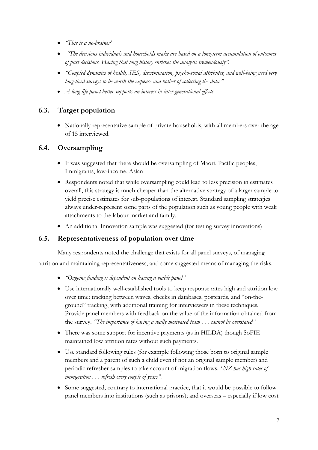- *"This is a no-brainer"*
- *"The decisions individuals and households make are based on a long-term accumulation of outcomes of past decisions. Having that long history enriches the analysis tremendously".*
- *"Coupled dynamics of health, SES, discrimination, psycho-social attributes, and well-being need very long-lived surveys to be worth the expense and bother of collecting the data."*
- *A long life panel better supports an interest in inter-generational effects.*

## **6.3. Target population**

• Nationally representative sample of private households, with all members over the age of 15 interviewed.

## **6.4. Oversampling**

- It was suggested that there should be oversampling of Maori, Pacific peoples, Immigrants, low-income, Asian
- Respondents noted that while oversampling could lead to less precision in estimates overall, this strategy is much cheaper than the alternative strategy of a larger sample to yield precise estimates for sub-populations of interest. Standard sampling strategies always under-represent some parts of the population such as young people with weak attachments to the labour market and family.
- An additional Innovation sample was suggested (for testing survey innovations)

## **6.5. Representativeness of population over time**

Many respondents noted the challenge that exists for all panel surveys, of managing attrition and maintaining representativeness, and some suggested means of managing the risks.

- *"Ongoing funding is dependent on having a viable panel"*
- Use internationally well-established tools to keep response rates high and attrition low over time: tracking between waves, checks in databases, postcards, and "on-theground" tracking, with additional training for interviewers in these techniques. Provide panel members with feedback on the value of the information obtained from the survey. *"The importance of having a really motivated team . . . cannot be overstated"*
- There was some support for incentive payments (as in HILDA) though SoFIE maintained low attrition rates without such payments.
- Use standard following rules (for example following those born to original sample members and a parent of such a child even if not an original sample member) and periodic refresher samples to take account of migration flows. *"NZ has high rates of immigration . . . refresh every couple of years".*
- Some suggested, contrary to international practice, that it would be possible to follow panel members into institutions (such as prisons); and overseas – especially if low cost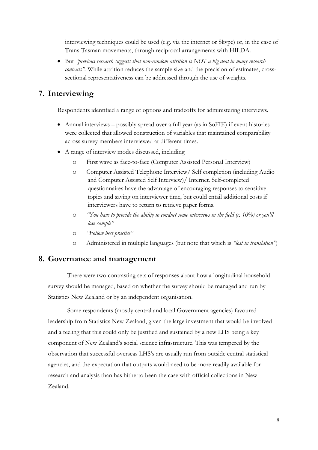interviewing techniques could be used (e.g. via the internet or Skype) or, in the case of Trans-Tasman movements, through reciprocal arrangements with HILDA.

 But *"previous research suggests that non-random attrition is NOT a big deal in many research contexts*". While attrition reduces the sample size and the precision of estimates, crosssectional representativeness can be addressed through the use of weights.

# **7. Interviewing**

Respondents identified a range of options and tradeoffs for administering interviews.

- Annual interviews possibly spread over a full year (as in SoFIE) if event histories were collected that allowed construction of variables that maintained comparability across survey members interviewed at different times.
- A range of interview modes discussed, including
	- o First wave as face-to-face (Computer Assisted Personal Interview)
	- o Computer Assisted Telephone Interview/ Self completion (including Audio and Computer Assisted Self Interview)/ Internet. Self-completed questionnaires have the advantage of encouraging responses to sensitive topics and saving on interviewer time, but could entail additional costs if interviewers have to return to retrieve paper forms.
	- o *"You have to provide the ability to conduct some interviews in the field (c. 10%) or you'll lose sample"*
	- o *"Follow best practice"*
	- o Administered in multiple languages (but note that which is *"lost in translation"*)

## **8. Governance and management**

There were two contrasting sets of responses about how a longitudinal household survey should be managed, based on whether the survey should be managed and run by Statistics New Zealand or by an independent organisation.

Some respondents (mostly central and local Government agencies) favoured leadership from Statistics New Zealand, given the large investment that would be involved and a feeling that this could only be justified and sustained by a new LHS being a key component of New Zealand's social science infrastructure. This was tempered by the observation that successful overseas LHS's are usually run from outside central statistical agencies, and the expectation that outputs would need to be more readily available for research and analysis than has hitherto been the case with official collections in New Zealand.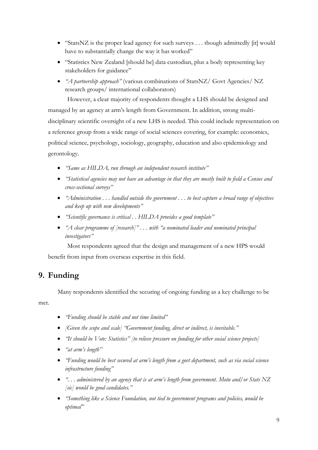- "StatsNZ is the proper lead agency for such surveys . . . though admittedly [it] would have to substantially change the way it has worked"
- "Statistics New Zealand [should be] data custodian, plus a body representing key stakeholders for guidance"
- *"A partnership approach"* (various combinations of StatsNZ/ Govt Agencies/ NZ research groups/ international collaborators)

However, a clear majority of respondents thought a LHS should be designed and managed by an agency at arm's length from Government. In addition, strong multidisciplinary scientific oversight of a new LHS is needed. This could include representation on a reference group from a wide range of social sciences covering, for example: economics, political science, psychology, sociology, geography, education and also epidemiology and gerontology.

- *"Same as HILDA, run through an independent research institute"*
- *"Statistical agencies may not have an advantage in that they are mostly built to field a Census and cross-sectional surveys"*
- *"Administration . . . handled outside the government . . . to best capture a broad range of objectives and keep up with new developments"*
- *"Scientific governance is critical . . HILDA provides a good template"*
- *"A clear programme of [research]" . . . with "a nominated leader and nominated principal investigators"*

Most respondents agreed that the design and management of a new HPS would benefit from input from overseas expertise in this field.

# **9. Funding**

Many respondents identified the securing of ongoing funding as a key challenge to be

met.

- *"Funding should be stable and not time limited"*
- *[Given the scope and scale] "Government funding, direct or indirect, is inevitable."*
- **•** "It should be Vote: Statistics" [to relieve pressure on funding for other social science projects]
- *"at arm's length"*
- *"Funding would be best secured at arm's length from a govt department, such as via social science infrastructure funding"*
- *". . . administered by an agency that is at arm's length from government. Motu and/or Stats NZ [sic] would be good candidates."*
- *"Something like a Science Foundation, not tied to government programs and policies, would be optimal"*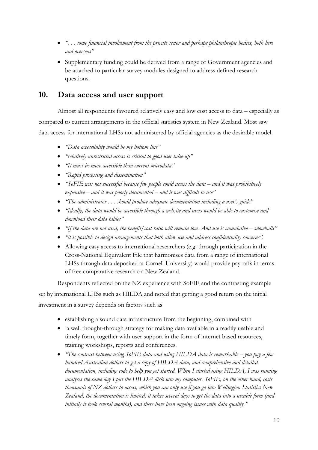- *". . . some financial involvement from the private sector and perhaps philanthropic bodies, both here and overseas"*
- Supplementary funding could be derived from a range of Government agencies and be attached to particular survey modules designed to address defined research questions.

# **10. Data access and user support**

Almost all respondents favoured relatively easy and low cost access to data – especially as compared to current arrangements in the official statistics system in New Zealand. Most saw data access for international LHSs not administered by official agencies as the desirable model.

- *"Data accessibility would be my bottom line"*
- *"relatively unrestricted access is critical to good user take-up"*
- *"It must be more accessible than current microdata"*
- *"Rapid processing and dissemination"*
- *"SoFIE was not successful because few people could access the data – and it was prohibitively expensive – and it was poorly documented – and it was difficult to use"*
- *"The administrator . . . should produce adequate documentation including a user's guide"*
- *"Ideally, the data would be accessible through a website and users would be able to customise and download their data tables"*
- *"If the data are not used, the benefit/cost ratio will remain low. And use is cumulative – snowballs"*
- *"it is possible to design arrangements that both allow use and address confidentiality concerns".*
- Allowing easy access to international researchers (e.g. through participation in the Cross-National Equivalent File that harmonises data from a range of international LHSs through data deposited at Cornell University) would provide pay-offs in terms of free comparative research on New Zealand.

Respondents reflected on the NZ experience with SoFIE and the contrasting example set by international LHSs such as HILDA and noted that getting a good return on the initial investment in a survey depends on factors such as

- establishing a sound data infrastructure from the beginning, combined with
- a well thought-through strategy for making data available in a readily usable and timely form, together with user support in the form of internet based resources, training workshops, reports and conferences.
- **•** "The contrast between using SoFIE data and using HILDA data is remarkable you pay a few *hundred Australian dollars to get a copy of HILDA data, and comprehensive and detailed documentation, including code to help you get started. When I started using HILDA, I was running analyses the same day I put the HILDA disk into my computer. SoFIE, on the other hand, costs thousands of NZ dollars to access, which you can only use if you go into Wellington Statistics New Zealand, the documentation is limited, it takes several days to get the data into a useable form (and initially it took several months), and there have been ongoing issues with data quality."*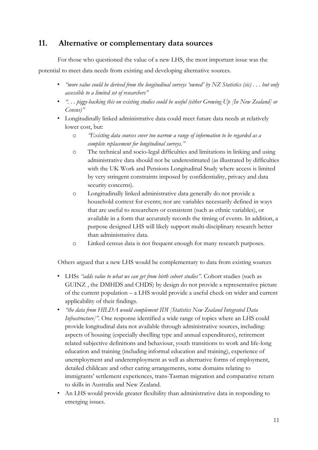# **11. Alternative or complementary data sources**

For those who questioned the value of a new LHS, the most important issue was the

potential to meet data needs from existing and developing alternative sources.

- *"more value could be derived from the longitudinal surveys 'owned' by NZ Statistics (sic) . . . but only accessible to a limited set of researchers"*
- *". . . piggy-backing this on existing studies could be useful (either Growing Up [In New Zealand] or Census)"*
- Longitudinally linked administrative data could meet future data needs at relatively lower cost, but:
	- o *"Existing data sources cover too narrow a range of information to be regarded as a complete replacement for longitudinal surveys."*
	- o The technical and socio-legal difficulties and limitations in linking and using administrative data should not be underestimated (as illustrated by difficulties with the UK Work and Pensions Longitudinal Study where access is limited by very stringent constraints imposed by confidentiality, privacy and data security concerns).
	- o Longitudinally linked administrative data generally do not provide a household context for events; nor are variables necessarily defined in ways that are useful to researchers or consistent (such as ethnic variables), or available in a form that accurately records the timing of events. In addition, a purpose designed LHS will likely support multi-disciplinary research better than administrative data.
	- o Linked census data is not frequent enough for many research purposes.

Others argued that a new LHS would be complementary to data from existing sources

- LHSs *"adds value to what we can get from birth cohort studies"*. Cohort studies (such as GUINZ , the DMHDS and CHDS) by design do not provide a representative picture of the current population – a LHS would provide a useful check on wider and current applicability of their findings.
- *"the data from HILDA would complement IDI [Statistics New Zealand Integrated Data Infrastructure]".* One response identified a wide range of topics where an LHS could provide longitudinal data not available through administrative sources, including: aspects of housing (especially dwelling type and annual expenditures), retirement related subjective definitions and behaviour, youth transitions to work and life-long education and training (including informal education and training), experience of unemployment and underemployment as well as alternative forms of employment, detailed childcare and other caring arrangements, some domains relating to immigrants' settlement experiences, trans-Tasman migration and comparative return to skills in Australia and New Zealand.
- An LHS would provide greater flexibility than administrative data in responding to emerging issues.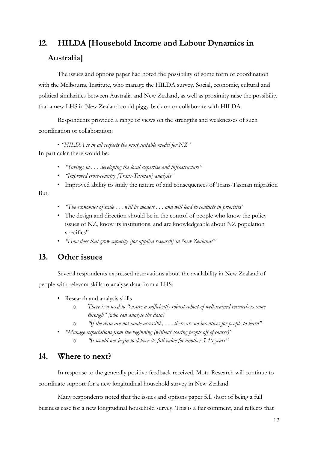# **12. HILDA [Household Income and Labour Dynamics in Australia]**

The issues and options paper had noted the possibility of some form of coordination with the Melbourne Institute, who manage the HILDA survey. Social, economic, cultural and political similarities between Australia and New Zealand, as well as proximity raise the possibility that a new LHS in New Zealand could piggy-back on or collaborate with HILDA.

Respondents provided a range of views on the strengths and weaknesses of such coordination or collaboration:

• *"HILDA is in all respects the most suitable model for NZ"*  In particular there would be:

- *"Savings in . . . developing the local expertise and infrastructure"*
- *"Improved cross-country [Trans-Tasman] analysis"*
- Improved ability to study the nature of and consequences of Trans-Tasman migration

#### But:

- *"The economies of scale . . . will be modest . . . and will lead to conflicts in priorities"*
- The design and direction should be in the control of people who know the policy issues of NZ, know its institutions, and are knowledgeable about NZ population specifics"
- *"How does that grow capacity [for applied research] in New Zealand?"*

## **13. Other issues**

Several respondents expressed reservations about the availability in New Zealand of people with relevant skills to analyse data from a LHS:

- Research and analysis skills
	- o *There is a need to "ensure a sufficiently robust cohort of well-trained researchers come through" [who can analyse the data]*
	- o *"If the data are not made accessible, . . . there are no incentives for people to learn"*
- *"Manage expectations from the beginning (without scaring people off of course)"*
	- o *"It would not begin to deliver its full value for another 5-10 years"*

# **14. Where to next?**

In response to the generally positive feedback received. Motu Research will continue to coordinate support for a new longitudinal household survey in New Zealand.

Many respondents noted that the issues and options paper fell short of being a full business case for a new longitudinal household survey. This is a fair comment, and reflects that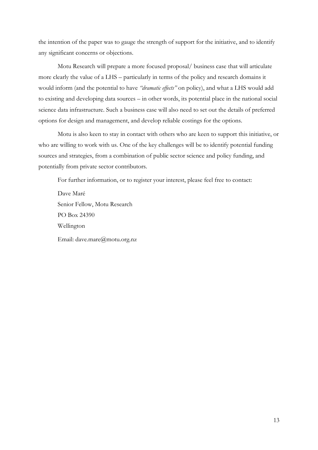the intention of the paper was to gauge the strength of support for the initiative, and to identify any significant concerns or objections.

Motu Research will prepare a more focused proposal/ business case that will articulate more clearly the value of a LHS – particularly in terms of the policy and research domains it would inform (and the potential to have *"dramatic effects"* on policy), and what a LHS would add to existing and developing data sources – in other words, its potential place in the national social science data infrastructure. Such a business case will also need to set out the details of preferred options for design and management, and develop reliable costings for the options.

Motu is also keen to stay in contact with others who are keen to support this initiative, or who are willing to work with us. One of the key challenges will be to identify potential funding sources and strategies, from a combination of public sector science and policy funding, and potentially from private sector contributors.

For further information, or to register your interest, please feel free to contact:

Dave Maré Senior Fellow, Motu Research PO Box 24390 Wellington Email: dave.mare@motu.org.nz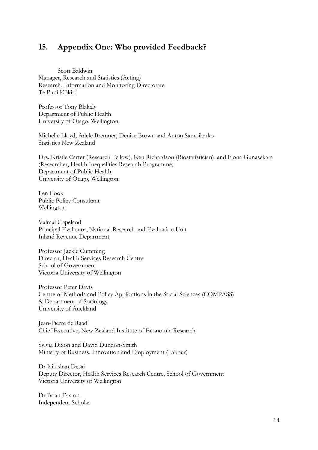# **15. Appendix One: Who provided Feedback?**

Scott Baldwin Manager, Research and Statistics (Acting) Research, Information and Monitoring Directorate Te Puni Kōkiri

Professor Tony Blakely Department of Public Health University of Otago, Wellington

Michelle Lloyd, Adele Bremner, Denise Brown and Anton Samoilenko Statistics New Zealand

Drs. Kristie Carter (Research Fellow), Ken Richardson (Biostatistician), and Fiona Gunasekara (Researcher, Health Inequalities Research Programme) Department of Public Health University of Otago, Wellington

Len Cook Public Policy Consultant Wellington

Valmai Copeland Principal Evaluator, National Research and Evaluation Unit Inland Revenue Department

Professor Jackie Cumming Director, Health Services Research Centre School of Government Victoria University of Wellington

Professor Peter Davis Centre of Methods and Policy Applications in the Social Sciences (COMPASS) & Department of Sociology University of Auckland

Jean-Pierre de Raad Chief Executive, New Zealand Institute of Economic Research

Sylvia Dixon and David Dundon-Smith Ministry of Business, Innovation and Employment (Labour)

Dr Jaikishan Desai Deputy Director, Health Services Research Centre, School of Government Victoria University of Wellington

Dr Brian Easton Independent Scholar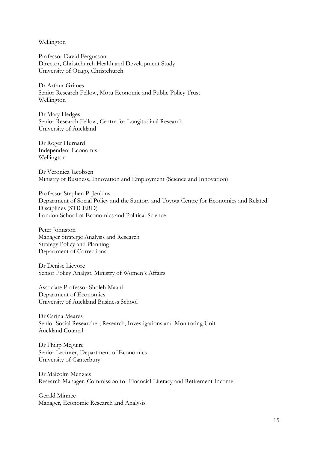Wellington

Professor David Fergusson Director, Christchurch Health and Development Study University of Otago, Christchurch

Dr Arthur Grimes Senior Research Fellow, Motu Economic and Public Policy Trust Wellington

Dr Mary Hedges Senior Research Fellow, Centre for Longitudinal Research University of Auckland

Dr Roger Hurnard Independent Economist Wellington

Dr Veronica Jacobsen Ministry of Business, Innovation and Employment (Science and Innovation)

Professor Stephen P. Jenkins Department of Social Policy and the Suntory and Toyota Centre for Economics and Related Disciplines (STICERD) London School of Economics and Political Science

Peter Johnston Manager Strategic Analysis and Research Strategy Policy and Planning Department of Corrections

Dr Denise Lievore Senior Policy Analyst, Ministry of Women's Affairs

Associate Professor Sholeh Maani Department of Economics University of Auckland Business School

Dr Carina Meares Senior Social Researcher, Research, Investigations and Monitoring Unit Auckland Council

Dr Philip Meguire Senior Lecturer, Department of Economics University of Canterbury

Dr Malcolm Menzies Research Manager, Commission for Financial Literacy and Retirement Income

Gerald Minnee Manager, Economic Research and Analysis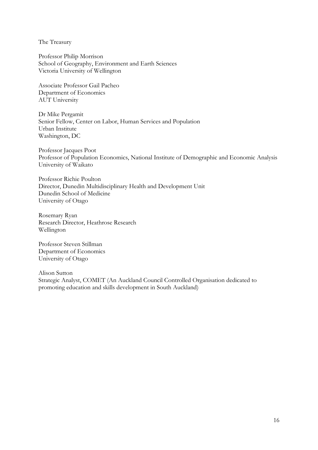The Treasury

Professor Philip Morrison School of Geography, Environment and Earth Sciences Victoria University of Wellington

Associate Professor Gail Pacheo Department of Economics AUT University

Dr Mike Pergamit Senior Fellow, Center on Labor, Human Services and Population Urban Institute Washington, DC

Professor Jacques Poot Professor of Population Economics, National Institute of Demographic and Economic Analysis University of Waikato

Professor Richie Poulton Director, Dunedin Multidisciplinary Health and Development Unit Dunedin School of Medicine University of Otago

Rosemary Ryan Research Director, Heathrose Research Wellington

Professor Steven Stillman Department of Economics University of Otago

Alison Sutton Strategic Analyst, COMET (An Auckland Council Controlled Organisation dedicated to promoting education and skills development in South Auckland)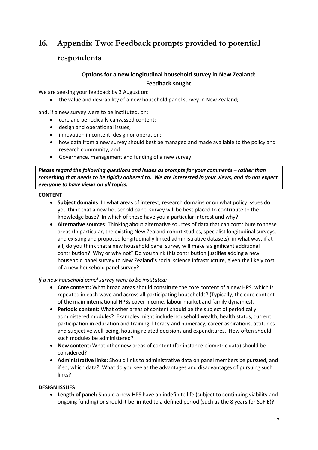# **16. Appendix Two: Feedback prompts provided to potential**

## **respondents**

# **Options for a new longitudinal household survey in New Zealand: Feedback sought**

We are seeking your feedback by 3 August on:

• the value and desirability of a new household panel survey in New Zealand;

and, if a new survey were to be instituted, on:

- core and periodically canvassed content;
- design and operational issues;
- innovation in content, design or operation;
- how data from a new survey should best be managed and made available to the policy and research community; and
- Governance, management and funding of a new survey.

*Please regard the following questions and issues as prompts for your comments – rather than something that needs to be rigidly adhered to. We are interested in your views, and do not expect everyone to have views on all topics.*

#### **CONTENT**

- **Subject domains**: In what areas of interest, research domains or on what policy issues do you think that a new household panel survey will be best placed to contribute to the knowledge base? In which of these have you a particular interest and why?
- **Alternative sources**: Thinking about alternative sources of data that can contribute to these areas (In particular, the existing New Zealand cohort studies, specialist longitudinal surveys, and existing and proposed longitudinally linked administrative datasets), in what way, if at all, do you think that a new household panel survey will make a significant additional contribution? Why or why not? Do you think this contribution justifies adding a new household panel survey to New Zealand's social science infrastructure, given the likely cost of a new household panel survey?

*If a new household panel survey were to be instituted:*

- **Core content:** What broad areas should constitute the core content of a new HPS, which is repeated in each wave and across all participating households? (Typically, the core content of the main international HPSs cover income, labour market and family dynamics).
- **Periodic content:** What other areas of content should be the subject of periodically administered modules? Examples might include household wealth, health status, current participation in education and training, literacy and numeracy, career aspirations, attitudes and subjective well-being, housing related decisions and expenditures. How often should such modules be administered?
- **New content:** What other new areas of content (for instance biometric data) should be considered?
- **Administrative links:** Should links to administrative data on panel members be pursued, and if so, which data? What do you see as the advantages and disadvantages of pursuing such links?

#### **DESIGN ISSUES**

 **Length of panel:** Should a new HPS have an indefinite life (subject to continuing viability and ongoing funding) or should it be limited to a defined period (such as the 8 years for SoFIE)?